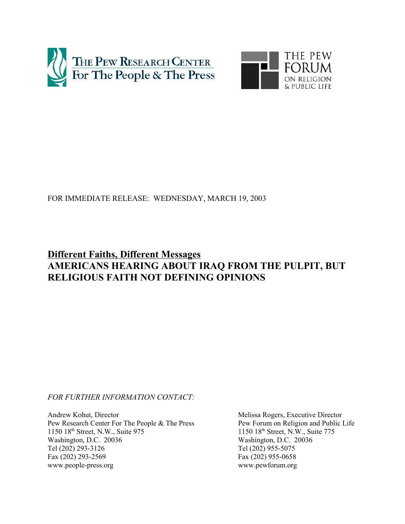



## FOR IMMEDIATE RELEASE: WEDNESDAY, MARCH 19, 2003

# **Different Faiths, Different Messages AMERICANS HEARING ABOUT IRAQ FROM THE PULPIT, BUT RELIGIOUS FAITH NOT DEFINING OPINIONS**

*FOR FURTHER INFORMATION CONTACT:*

Andrew Kohut, Director Melissa Rogers, Executive Director Pew Research Center For The People & The Press Pew Forum on Religion and Public Life 1150 18<sup>th</sup> Street, N.W., Suite 975 1150 18<sup>th</sup> Street, N.W., Suite 775 Washington, D.C. 20036<br>Tel (202) 293-3126<br>Tel (202) 955-5075 Tel (202) 293-3126 Fax (202) 293-2569 Fax (202) 955-0658 www.people-press.org www.pewforum.org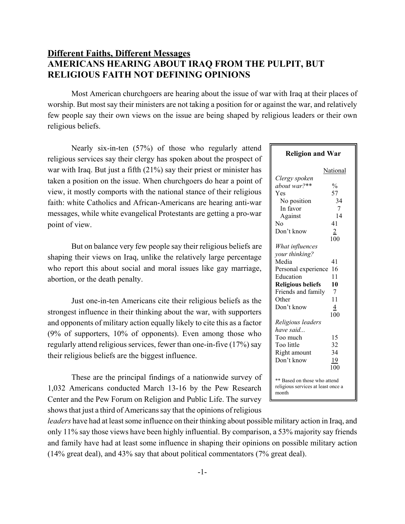## **Different Faiths, Different Messages AMERICANS HEARING ABOUT IRAQ FROM THE PULPIT, BUT RELIGIOUS FAITH NOT DEFINING OPINIONS**

Most American churchgoers are hearing about the issue of war with Iraq at their places of worship. But most say their ministers are not taking a position for or against the war, and relatively few people say their own views on the issue are being shaped by religious leaders or their own religious beliefs.

Nearly six-in-ten (57%) of those who regularly attend religious services say their clergy has spoken about the prospect of war with Iraq. But just a fifth (21%) say their priest or minister has taken a position on the issue. When churchgoers do hear a point of view, it mostly comports with the national stance of their religious faith: white Catholics and African-Americans are hearing anti-war messages, while white evangelical Protestants are getting a pro-war point of view.

 But on balance very few people say their religious beliefs are shaping their views on Iraq, unlike the relatively large percentage who report this about social and moral issues like gay marriage, abortion, or the death penalty.

Just one-in-ten Americans cite their religious beliefs as the strongest influence in their thinking about the war, with supporters and opponents of military action equally likely to cite this as a factor (9% of supporters, 10% of opponents). Even among those who regularly attend religious services, fewer than one-in-five (17%) say their religious beliefs are the biggest influence.

These are the principal findings of a nationwide survey of 1,032 Americans conducted March 13-16 by the Pew Research Center and the Pew Forum on Religion and Public Life. The survey shows that just a third of Americans say that the opinions of religious

| <b>Religion and War</b>                                                     |               |  |  |  |
|-----------------------------------------------------------------------------|---------------|--|--|--|
|                                                                             | National      |  |  |  |
| Clergy spoken                                                               |               |  |  |  |
| about war?**                                                                | $\frac{0}{0}$ |  |  |  |
| Yes                                                                         | 57            |  |  |  |
| No position                                                                 | 34            |  |  |  |
| In favor                                                                    | $\tau$        |  |  |  |
| Against                                                                     | 14            |  |  |  |
| Nο                                                                          | 41            |  |  |  |
| Don't know                                                                  | 2             |  |  |  |
|                                                                             | 100           |  |  |  |
| What influences                                                             |               |  |  |  |
| your thinking?                                                              |               |  |  |  |
| Media                                                                       | 41            |  |  |  |
| Personal experience                                                         | 16            |  |  |  |
| Education                                                                   | 11            |  |  |  |
| <b>Religious beliefs</b>                                                    | 10            |  |  |  |
| Friends and family                                                          | 7             |  |  |  |
| Other                                                                       | 11            |  |  |  |
| Don't know                                                                  | 4             |  |  |  |
|                                                                             | 100           |  |  |  |
| Religious leaders                                                           |               |  |  |  |
| have said                                                                   |               |  |  |  |
| Too much                                                                    | 15            |  |  |  |
| Too little                                                                  | 32            |  |  |  |
| Right amount                                                                | 34            |  |  |  |
| Don't know                                                                  | 19            |  |  |  |
|                                                                             | 100           |  |  |  |
| ** Based on those who attend<br>religious services at least once a<br>month |               |  |  |  |

*leaders* have had at least some influence on their thinking about possible military action in Iraq, and only 11% say those views have been highly influential. By comparison, a 53% majority say friends and family have had at least some influence in shaping their opinions on possible military action (14% great deal), and 43% say that about political commentators (7% great deal).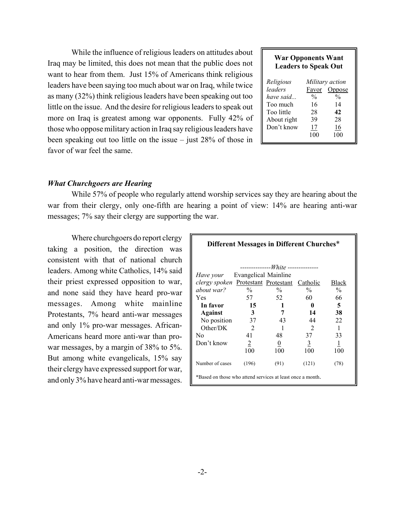| <b>War Opponents Want</b><br><b>Leaders to Speak Out</b> |               |                 |  |  |  |
|----------------------------------------------------------|---------------|-----------------|--|--|--|
| Religious                                                |               | Military action |  |  |  |
| leaders                                                  | Favor         | Oppose          |  |  |  |
| have said                                                | $\frac{0}{0}$ | $\frac{0}{0}$   |  |  |  |
| Too much                                                 | 16            | 14              |  |  |  |
| Too little                                               | 28            | 42              |  |  |  |
| About right                                              | 39            | 28              |  |  |  |
| Don't know                                               | 17            | 16              |  |  |  |
|                                                          | 100           | 100             |  |  |  |

While the influence of religious leaders on attitudes about Iraq may be limited, this does not mean that the public does not want to hear from them. Just 15% of Americans think religious leaders have been saying too much about war on Iraq, while twice as many (32%) think religious leaders have been speaking out too little on the issue. And the desire for religious leaders to speak out more on Iraq is greatest among war opponents. Fully 42% of those who oppose military action in Iraq say religious leaders have been speaking out too little on the issue – just 28% of those in favor of war feel the same.

## *What Churchgoers are Hearing*

While 57% of people who regularly attend worship services say they are hearing about the war from their clergy, only one-fifth are hearing a point of view: 14% are hearing anti-war messages; 7% say their clergy are supporting the war.

Where churchgoers do report clergy taking a position, the direction was consistent with that of national church leaders. Among white Catholics, 14% said their priest expressed opposition to war, and none said they have heard pro-war messages. Among white mainline Protestants, 7% heard anti-war messages and only 1% pro-war messages. African-Americans heard more anti-war than prowar messages, by a margin of 38% to 5%. But among white evangelicals, 15% say their clergy have expressed support for war, and only 3% have heard anti-war messages.

| Different Messages in Different Churches*                                                                                                                                                    |                                                                           |                                                                                                         |                                                                          |                                                                                   |  |
|----------------------------------------------------------------------------------------------------------------------------------------------------------------------------------------------|---------------------------------------------------------------------------|---------------------------------------------------------------------------------------------------------|--------------------------------------------------------------------------|-----------------------------------------------------------------------------------|--|
| <i>Have your</i> Evangelical Mainline<br>clergy spoken Protestant Protestant Catholic<br>about war?<br>Yes<br>In favor<br>Against<br>No position<br>Other/DK<br>N <sub>0</sub><br>Don't know | $\frac{0}{0}$<br>57<br>15<br>-3<br>37<br>2<br>41<br>$\overline{2}$<br>100 | -------------White --------------<br>$\frac{0}{0}$<br>52<br>1<br>7<br>43<br>1<br>48.<br>$\theta$<br>100 | $\frac{0}{0}$<br>60<br>0<br>14<br>44<br>2<br>37<br>$\overline{3}$<br>100 | Black<br>$\frac{0}{0}$<br>66<br>5<br>38<br>22<br>1<br>33<br>$\overline{1}$<br>100 |  |
| Number of cases<br>*Based on those who attend services at least once a month.                                                                                                                | (196)                                                                     | (91)                                                                                                    | (121)                                                                    | (78)                                                                              |  |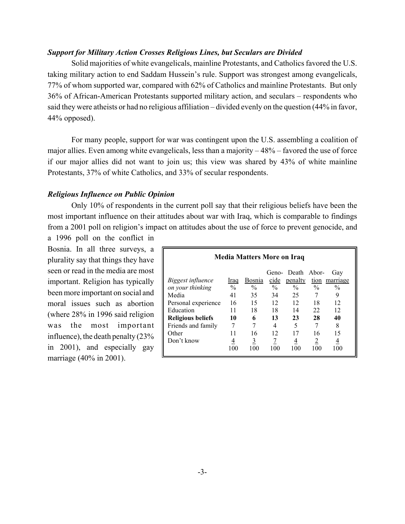## *Support for Military Action Crosses Religious Lines, but Seculars are Divided*

Solid majorities of white evangelicals, mainline Protestants, and Catholics favored the U.S. taking military action to end Saddam Hussein's rule. Support was strongest among evangelicals, 77% of whom supported war, compared with 62% of Catholics and mainline Protestants. But only 36% of African-American Protestants supported military action, and seculars – respondents who said they were atheists or had no religious affiliation – divided evenly on the question (44% in favor, 44% opposed).

For many people, support for war was contingent upon the U.S. assembling a coalition of major allies. Even among white evangelicals, less than a majority – 48% – favored the use of force if our major allies did not want to join us; this view was shared by 43% of white mainline Protestants, 37% of white Catholics, and 33% of secular respondents.

## *Religious Influence on Public Opinion*

Only 10% of respondents in the current poll say that their religious beliefs have been the most important influence on their attitudes about war with Iraq, which is comparable to findings from a 2001 poll on religion's impact on attitudes about the use of force to prevent genocide, and

a 1996 poll on the conflict in Bosnia. In all three surveys, a plurality say that things they have seen or read in the media are most important. Religion has typically been more important on social and moral issues such as abortion (where 28% in 1996 said religion was the most important influence), the death penalty (23% in 2001), and especially gay marriage (40% in 2001).

| <b>Media Matters More on Iraq</b> |               |               |               |                   |               |               |
|-----------------------------------|---------------|---------------|---------------|-------------------|---------------|---------------|
|                                   |               |               |               | Geno- Death Abor- |               | Gay           |
| <i>Biggest influence</i>          | Iraq          | Bosnia        | cide          | penalty           |               | tion marriage |
| on your thinking                  | $\frac{0}{0}$ | $\frac{0}{0}$ | $\frac{0}{0}$ | $\frac{0}{0}$     | $\frac{0}{0}$ | $\frac{0}{0}$ |
| Media                             | 41            | 35            | 34            | 25                |               | 9             |
| Personal experience               | 16            | 15            | 12            | 12                | 18            | 12            |
| Education                         | 11            | 18            | 18            | 14                | 22            | 12            |
| <b>Religious beliefs</b>          | 10            | 6             | 13            | 23                | 28            | 40            |
| Friends and family                |               |               | 4             | 5                 |               | 8             |
| Other                             | 11            | 16            | 12            | 17                | 16            | 15            |
| Don't know                        | 4             | 3             |               | 4                 | 2             | 4             |
|                                   | 100           | 100           | 100           | 100               | 100           | 100           |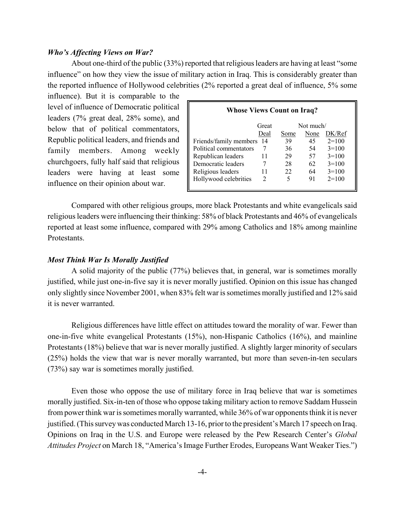### *Who's Affecting Views on War?*

About one-third of the public (33%) reported that religious leaders are having at least "some influence" on how they view the issue of military action in Iraq. This is considerably greater than the reported influence of Hollywood celebrities (2% reported a great deal of influence, 5% some

influence). But it is comparable to the level of influence of Democratic political leaders (7% great deal, 28% some), and below that of political commentators, Republic political leaders, and friends and family members. Among weekly churchgoers, fully half said that religious leaders were having at least some influence on their opinion about war.

| <b>Whose Views Count on Iraq?</b> |      |      |         |  |  |
|-----------------------------------|------|------|---------|--|--|
| Not much/<br>Great                |      |      |         |  |  |
| Deal                              | Some | None | DK/Ref  |  |  |
| Friends/family members<br>-14     | 39   | 45   | $2=100$ |  |  |
|                                   | 36   | 54   | $3=100$ |  |  |
| 11                                | 29   | 57   | $3=100$ |  |  |
|                                   | 28   | 62   | $3=100$ |  |  |
| 11                                | 22   | 64   | $3=100$ |  |  |
| 2                                 | 5    | 91   | $2=100$ |  |  |
|                                   |      |      |         |  |  |

Compared with other religious groups, more black Protestants and white evangelicals said religious leaders were influencing their thinking: 58% of black Protestants and 46% of evangelicals reported at least some influence, compared with 29% among Catholics and 18% among mainline **Protestants** 

## *Most Think War Is Morally Justified*

A solid majority of the public (77%) believes that, in general, war is sometimes morally justified, while just one-in-five say it is never morally justified. Opinion on this issue has changed only slightly since November 2001, when 83% felt war is sometimes morally justified and 12% said it is never warranted.

Religious differences have little effect on attitudes toward the morality of war. Fewer than one-in-five white evangelical Protestants (15%), non-Hispanic Catholics (16%), and mainline Protestants (18%) believe that war is never morally justified. A slightly larger minority of seculars (25%) holds the view that war is never morally warranted, but more than seven-in-ten seculars (73%) say war is sometimes morally justified.

Even those who oppose the use of military force in Iraq believe that war is sometimes morally justified. Six-in-ten of those who oppose taking military action to remove Saddam Hussein from power think war is sometimes morally warranted, while 36% of war opponents think it is never justified. (This survey was conducted March 13-16, prior to the president's March 17 speech on Iraq. Opinions on Iraq in the U.S. and Europe were released by the Pew Research Center's *Global Attitudes Project* on March 18, "America's Image Further Erodes, Europeans Want Weaker Ties.")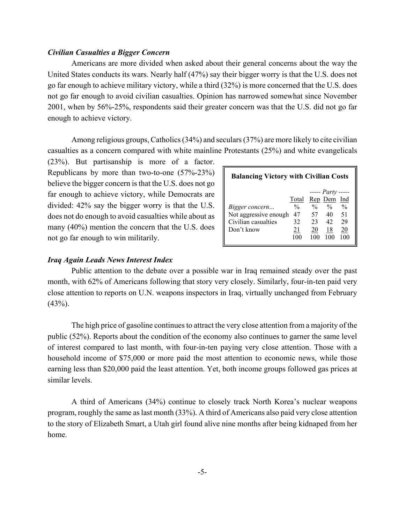### *Civilian Casualties a Bigger Concern*

Americans are more divided when asked about their general concerns about the way the United States conducts its wars. Nearly half (47%) say their bigger worry is that the U.S. does not go far enough to achieve military victory, while a third (32%) is more concerned that the U.S. does not go far enough to avoid civilian casualties. Opinion has narrowed somewhat since November 2001, when by 56%-25%, respondents said their greater concern was that the U.S. did not go far enough to achieve victory.

Among religious groups, Catholics (34%) and seculars (37%) are more likely to cite civilian casualties as a concern compared with white mainline Protestants (25%) and white evangelicals

(23%). But partisanship is more of a factor. Republicans by more than two-to-one (57%-23%) believe the bigger concern is that the U.S. does not go far enough to achieve victory, while Democrats are divided: 42% say the bigger worry is that the U.S. does not do enough to avoid casualties while about as many (40%) mention the concern that the U.S. does not go far enough to win militarily.

| <b>Balancing Victory with Civilian Costs</b> |               |               |                          |               |  |
|----------------------------------------------|---------------|---------------|--------------------------|---------------|--|
|                                              |               |               | $---$ <i>Party</i> ----- |               |  |
|                                              | Total         |               | Rep Dem                  | Ind           |  |
| Bigger concern                               | $\frac{0}{0}$ | $\frac{0}{0}$ | $\frac{0}{0}$            | $\frac{0}{0}$ |  |
| Not aggressive enough                        | 47            | 57            | 40                       | 51            |  |
| Civilian casualties                          | 32            | 23            | 42                       | 29            |  |
| Don't know                                   | 21            | 20            | 18                       | 20            |  |
|                                              | 100           | 100           | 100                      | 100           |  |

## *Iraq Again Leads News Interest Index*

Public attention to the debate over a possible war in Iraq remained steady over the past month, with 62% of Americans following that story very closely. Similarly, four-in-ten paid very close attention to reports on U.N. weapons inspectors in Iraq, virtually unchanged from February (43%).

The high price of gasoline continues to attract the very close attention from a majority of the public (52%). Reports about the condition of the economy also continues to garner the same level of interest compared to last month, with four-in-ten paying very close attention. Those with a household income of \$75,000 or more paid the most attention to economic news, while those earning less than \$20,000 paid the least attention. Yet, both income groups followed gas prices at similar levels.

A third of Americans (34%) continue to closely track North Korea's nuclear weapons program, roughly the same as last month (33%). A third of Americans also paid very close attention to the story of Elizabeth Smart, a Utah girl found alive nine months after being kidnaped from her home.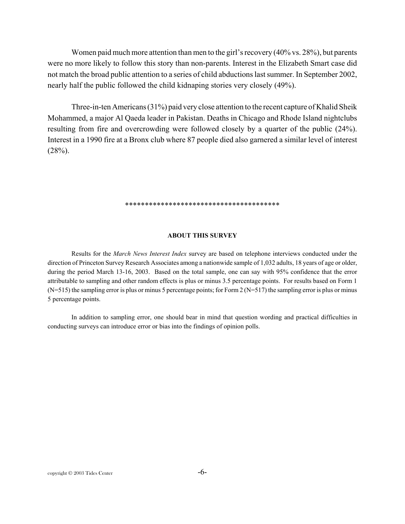Women paid much more attention than men to the girl's recovery (40% vs. 28%), but parents were no more likely to follow this story than non-parents. Interest in the Elizabeth Smart case did not match the broad public attention to a series of child abductions last summer. In September 2002, nearly half the public followed the child kidnaping stories very closely (49%).

Three-in-ten Americans (31%) paid very close attention to the recent capture of Khalid Sheik Mohammed, a major Al Qaeda leader in Pakistan. Deaths in Chicago and Rhode Island nightclubs resulting from fire and overcrowding were followed closely by a quarter of the public (24%). Interest in a 1990 fire at a Bronx club where 87 people died also garnered a similar level of interest  $(28%)$ .

## \*\*\*\*\*\*\*\*\*\*\*\*\*\*\*\*\*\*\*\*\*\*\*\*\*\*\*\*\*\*\*\*\*\*\*\*\*\*\*

#### **ABOUT THIS SURVEY**

Results for the *March News Interest Index* survey are based on telephone interviews conducted under the direction of Princeton Survey Research Associates among a nationwide sample of 1,032 adults, 18 years of age or older, during the period March 13-16, 2003. Based on the total sample, one can say with 95% confidence that the error attributable to sampling and other random effects is plus or minus 3.5 percentage points. For results based on Form 1  $(N=515)$  the sampling error is plus or minus 5 percentage points; for Form 2 ( $N=517$ ) the sampling error is plus or minus 5 percentage points.

In addition to sampling error, one should bear in mind that question wording and practical difficulties in conducting surveys can introduce error or bias into the findings of opinion polls.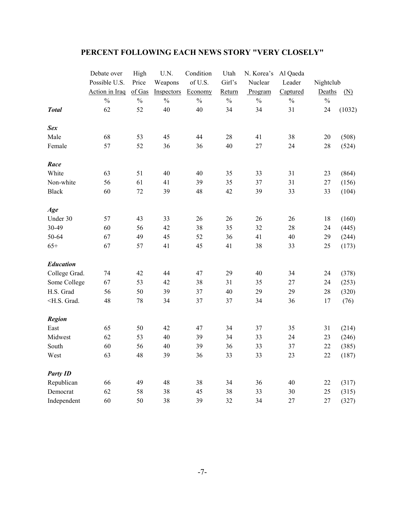## **PERCENT FOLLOWING EACH NEWS STORY "VERY CLOSELY"**

|                                                                                                                                    | Debate over    | High          | U.N.          | Condition     | Utah          | N. Korea's    | Al Qaeda      |               |        |
|------------------------------------------------------------------------------------------------------------------------------------|----------------|---------------|---------------|---------------|---------------|---------------|---------------|---------------|--------|
|                                                                                                                                    | Possible U.S.  | Price         | Weapons       | of U.S.       | Girl's        | Nuclear       | Leader        | Nightclub     |        |
|                                                                                                                                    | Action in Iraq | of Gas        | Inspectors    | Economy       | Return        | Program       | Captured      | Deaths        | (N)    |
|                                                                                                                                    | $\frac{0}{0}$  | $\frac{0}{0}$ | $\frac{0}{0}$ | $\frac{0}{0}$ | $\frac{0}{0}$ | $\frac{0}{0}$ | $\frac{0}{0}$ | $\frac{0}{0}$ |        |
| <b>Total</b>                                                                                                                       | 62             | 52            | 40            | 40            | 34            | 34            | 31            | 24            | (1032) |
| <b>Sex</b>                                                                                                                         |                |               |               |               |               |               |               |               |        |
| Male                                                                                                                               | 68             | 53            | 45            | 44            | 28            | 41            | 38            | $20\,$        | (508)  |
| Female                                                                                                                             | 57             | 52            | 36            | 36            | 40            | 27            | 24            | 28            | (524)  |
| Race                                                                                                                               |                |               |               |               |               |               |               |               |        |
| White                                                                                                                              | 63             | 51            | 40            | 40            | 35            | 33            | 31            | 23            | (864)  |
| Non-white                                                                                                                          | 56             | 61            | 41            | 39            | 35            | 37            | 31            | 27            | (156)  |
| <b>Black</b>                                                                                                                       | 60             | 72            | 39            | 48            | 42            | 39            | 33            | 33            | (104)  |
| Age                                                                                                                                |                |               |               |               |               |               |               |               |        |
| Under 30                                                                                                                           | 57             | 43            | 33            | 26            | 26            | 26            | 26            | 18            | (160)  |
| 30-49                                                                                                                              | 60             | 56            | 42            | 38            | 35            | 32            | $28\,$        | 24            | (445)  |
| 50-64                                                                                                                              | 67             | 49            | 45            | 52            | 36            | 41            | $40\,$        | 29            | (244)  |
| $65+$                                                                                                                              | 67             | 57            | 41            | 45            | 41            | 38            | 33            | 25            | (173)  |
| <b>Education</b>                                                                                                                   |                |               |               |               |               |               |               |               |        |
| College Grad.                                                                                                                      | 74             | 42            | 44            | 47            | 29            | 40            | 34            | 24            | (378)  |
| Some College                                                                                                                       | 67             | 53            | 42            | 38            | 31            | 35            | 27            | 24            | (253)  |
| H.S. Grad                                                                                                                          | 56             | 50            | 39            | 37            | 40            | 29            | 29            | 28            | (320)  |
| <h.s. grad.<="" td=""><td>48</td><td>78</td><td>34</td><td>37</td><td>37</td><td>34</td><td>36</td><td>17</td><td>(76)</td></h.s.> | 48             | 78            | 34            | 37            | 37            | 34            | 36            | 17            | (76)   |
| <b>Region</b>                                                                                                                      |                |               |               |               |               |               |               |               |        |
| East                                                                                                                               | 65             | 50            | 42            | 47            | 34            | 37            | 35            | 31            | (214)  |
| Midwest                                                                                                                            | 62             | 53            | 40            | 39            | 34            | 33            | 24            | 23            | (246)  |
| South                                                                                                                              | 60             | 56            | 40            | 39            | 36            | 33            | 37            | 22            | (385)  |
| West                                                                                                                               | 63             | 48            | 39            | 36            | 33            | 33            | 23            | 22            | (187)  |
| <b>Party ID</b>                                                                                                                    |                |               |               |               |               |               |               |               |        |
| Republican                                                                                                                         | 66             | 49            | 48            | 38            | 34            | 36            | 40            | 22            | (317)  |
| Democrat                                                                                                                           | 62             | 58            | 38            | 45            | 38            | 33            | 30            | 25            | (315)  |
| Independent                                                                                                                        | 60             | 50            | 38            | 39            | 32            | 34            | 27            | 27            | (327)  |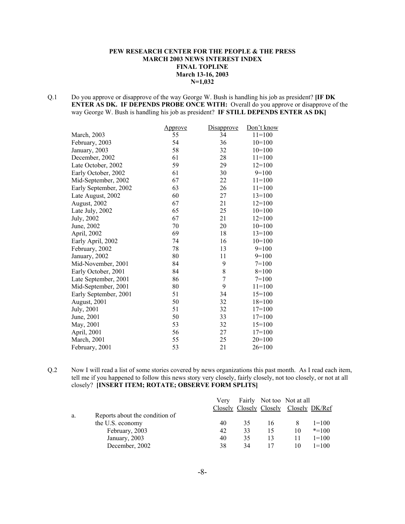### **PEW RESEARCH CENTER FOR THE PEOPLE & THE PRESS MARCH 2003 NEWS INTEREST INDEX FINAL TOPLINE March 13-16, 2003 N=1,032**

Q.1 Do you approve or disapprove of the way George W. Bush is handling his job as president? **[IF DK ENTER AS DK. IF DEPENDS PROBE ONCE WITH:** Overall do you approve or disapprove of the way George W. Bush is handling his job as president? **IF STILL DEPENDS ENTER AS DK]**

|                       | <u>Approve</u> | Disapprove     | Don't know |
|-----------------------|----------------|----------------|------------|
| March, 2003           | 55             | 34             | $11=100$   |
| February, 2003        | 54             | 36             | $10=100$   |
| January, 2003         | 58             | 32             | $10=100$   |
| December, 2002        | 61             | 28             | $11=100$   |
| Late October, 2002    | 59             | 29             | $12=100$   |
| Early October, 2002   | 61             | 30             | $9=100$    |
| Mid-September, 2002   | 67             | 22             | $11 = 100$ |
| Early September, 2002 | 63             | 26             | $11=100$   |
| Late August, 2002     | 60             | 27             | $13 = 100$ |
| August, 2002          | 67             | 21             | $12=100$   |
| Late July, 2002       | 65             | 25             | $10=100$   |
| July, 2002            | 67             | 21             | $12=100$   |
| June, 2002            | 70             | 20             | $10=100$   |
| April, 2002           | 69             | 18             | $13=100$   |
| Early April, 2002     | 74             | 16             | $10=100$   |
| February, 2002        | 78             | 13             | $9=100$    |
| January, 2002         | 80             | 11             | $9=100$    |
| Mid-November, 2001    | 84             | 9              | $7=100$    |
| Early October, 2001   | 84             | 8              | $8=100$    |
| Late September, 2001  | 86             | $\overline{7}$ | $7=100$    |
| Mid-September, 2001   | 80             | 9              | $11=100$   |
| Early September, 2001 | 51             | 34             | $15=100$   |
| August, 2001          | 50             | 32             | $18=100$   |
| July, 2001            | 51             | 32             | $17=100$   |
| June, 2001            | 50             | 33             | $17=100$   |
| May, 2001             | 53             | 32             | $15=100$   |
| April, 2001           | 56             | 27             | $17 = 100$ |
| March, 2001           | 55             | 25             | $20=100$   |
| February, 2001        | 53             | 21             | $26=100$   |

Q.2 Now I will read a list of some stories covered by news organizations this past month. As I read each item, tell me if you happened to follow this news story very closely, fairly closely, not too closely, or not at all closely? **[INSERT ITEM; ROTATE; OBSERVE FORM SPLITS]**

|    |                                | Verv | Closely Closely Closely |    | Fairly Not too Not at all | Closely DK/Ref |
|----|--------------------------------|------|-------------------------|----|---------------------------|----------------|
| a. | Reports about the condition of |      |                         |    |                           |                |
|    | the U.S. economy               | 40   | 35                      | 16 |                           | $1 = 100$      |
|    | February, 2003                 | 42   | 33                      | 15 | 10                        | $* = 100$      |
|    | January, 2003                  | 40   | 35                      | 13 | 11                        | $1 = 100$      |
|    | December, 2002                 | 38   | 34                      |    | 10                        | $1 = 100$      |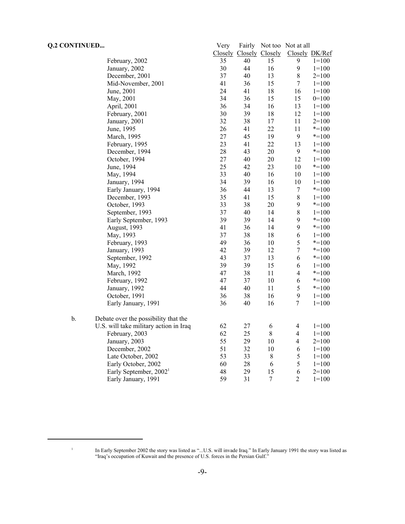| <b>Q.2 CONTINUED</b> |                                        | Very | Fairly                  |                  | Not too Not at all |                |
|----------------------|----------------------------------------|------|-------------------------|------------------|--------------------|----------------|
|                      |                                        |      | Closely Closely Closely |                  |                    | Closely DK/Ref |
|                      | February, 2002                         | 35   | 40                      | 15               | 9                  | $1=100$        |
|                      | January, 2002                          | 30   | 44                      | 16               | 9                  | $1 = 100$      |
|                      | December, 2001                         | 37   | 40                      | 13               | 8                  | $2=100$        |
|                      | Mid-November, 2001                     | 41   | 36                      | 15               | $\boldsymbol{7}$   | $1 = 100$      |
|                      | June, 2001                             | 24   | 41                      | 18               | 16                 | $1 = 100$      |
|                      | May, 2001                              | 34   | 36                      | 15               | 15                 | $0=100$        |
|                      | April, 2001                            | 36   | 34                      | 16               | 13                 | $1=100$        |
|                      | February, 2001                         | 30   | 39                      | $18\,$           | 12                 | $1=100$        |
|                      | January, 2001                          | 32   | 38                      | 17               | 11                 | $2=100$        |
|                      | June, 1995                             | 26   | 41                      | 22               | 11                 | $* = 100$      |
|                      | March, 1995                            | 27   | 45                      | 19               | 9                  | $* = 100$      |
|                      | February, 1995                         | 23   | 41                      | 22               | 13                 | $1 = 100$      |
|                      | December, 1994                         | 28   | 43                      | 20               | 9                  | $* = 100$      |
|                      | October, 1994                          | 27   | 40                      | $20\,$           | 12                 | $1 = 100$      |
|                      | June, 1994                             | 25   | 42                      | 23               | 10                 | $* = 100$      |
|                      | May, 1994                              | 33   | 40                      | 16               | 10                 | $1 = 100$      |
|                      | January, 1994                          | 34   | 39                      | 16               | 10                 | $1 = 100$      |
|                      | Early January, 1994                    | 36   | 44                      | 13               | $\boldsymbol{7}$   | $* = 100$      |
|                      | December, 1993                         | 35   | 41                      | 15               | $\,8\,$            | $1 = 100$      |
|                      | October, 1993                          | 33   | 38                      | 20               | 9                  | $* = 100$      |
|                      | September, 1993                        | 37   | 40                      | 14               | 8                  | $1=100$        |
|                      | Early September, 1993                  | 39   | 39                      | 14               | 9                  | $* = 100$      |
|                      | August, 1993                           | 41   | 36                      | 14               | 9                  | $* = 100$      |
|                      | May, 1993                              | 37   | 38                      | 18               | 6                  | $1 = 100$      |
|                      | February, 1993                         | 49   | 36                      | 10               | 5                  | $* = 100$      |
|                      | January, 1993                          | 42   | 39                      | 12               | $\boldsymbol{7}$   | $* = 100$      |
|                      | September, 1992                        | 43   | 37                      | 13               | 6                  | $* = 100$      |
|                      | May, 1992                              | 39   | 39                      | 15               | 6                  | $1=100$        |
|                      | March, 1992                            | 47   | 38                      | 11               | $\overline{4}$     | $* = 100$      |
|                      | February, 1992                         | 47   | 37                      | 10               | 6                  | $*=100$        |
|                      | January, 1992                          | 44   | 40                      | 11               | 5                  | $* = 100$      |
|                      | October, 1991                          | 36   | 38                      | 16               | $\mathbf{9}$       | $1 = 100$      |
|                      | Early January, 1991                    | 36   | 40                      | 16               | $\overline{7}$     | $1 = 100$      |
|                      |                                        |      |                         |                  |                    |                |
| $\mathbf b$ .        | Debate over the possibility that the   |      |                         |                  |                    |                |
|                      | U.S. will take military action in Iraq | 62   | 27                      | 6                | $\overline{4}$     | $1 = 100$      |
|                      | February, 2003                         | 62   | 25                      | $8\,$            | 4                  | $1=100$        |
|                      | January, 2003                          | 55   | 29                      | 10               | $\overline{4}$     | $2=100$        |
|                      | December, 2002                         | 51   | 32                      | 10               | 6                  | $1=100$        |
|                      | Late October, 2002                     | 53   | 33                      | $\,$ 8 $\,$      | 5                  | $1 = 100$      |
|                      | Early October, 2002                    | 60   | $28\,$                  | 6                | 5                  | $1 = 100$      |
|                      | Early September, $20021$               | 48   | 29                      | 15               | 6                  | $2=100$        |
|                      | Early January, 1991                    | 59   | 31                      | $\boldsymbol{7}$ | $\overline{2}$     | $1 = 100$      |

<sup>&</sup>lt;sup>1</sup> In Early September 2002 the story was listed as "...U.S. will invade Iraq." In Early January 1991 the story was listed as "Iraq's occupation of Kuwait and the presence of U.S. forces in the Persian Gulf."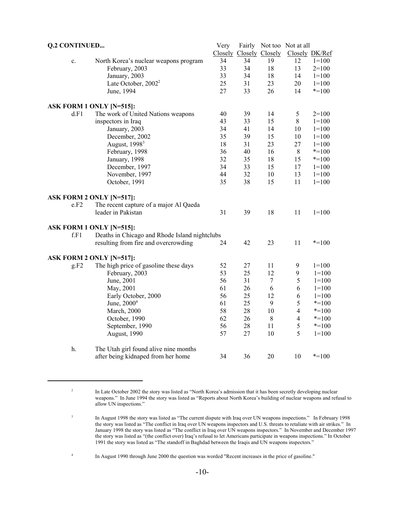| <b>Q.2 CONTINUED</b> |                |                                               | Very |    |                         | Fairly Not too Not at all |                |
|----------------------|----------------|-----------------------------------------------|------|----|-------------------------|---------------------------|----------------|
|                      |                |                                               |      |    | Closely Closely Closely |                           | Closely DK/Ref |
|                      | $\mathbf{c}$ . | North Korea's nuclear weapons program         | 34   | 34 | 19                      | 12                        | $1 = 100$      |
|                      |                | February, 2003                                | 33   | 34 | 18                      | 13                        | $2=100$        |
|                      |                | January, 2003                                 | 33   | 34 | 18                      | 14                        | $1 = 100$      |
|                      |                | Late October, 2002 <sup>2</sup>               | 25   | 31 | 23                      | 20                        | $1 = 100$      |
|                      |                | June, 1994                                    | 27   | 33 | 26                      | 14                        | $* = 100$      |
|                      |                | ASK FORM 1 ONLY [N=515]:                      |      |    |                         |                           |                |
|                      | d.F1           | The work of United Nations weapons            | 40   | 39 | 14                      | 5                         | $2=100$        |
|                      |                | inspectors in Iraq                            | 43   | 33 | 15                      | 8                         | $1=100$        |
|                      |                | January, 2003                                 | 34   | 41 | 14                      | 10                        | $1 = 100$      |
|                      |                | December, 2002                                | 35   | 39 | 15                      | 10                        | $1 = 100$      |
|                      |                | August, 1998 <sup>3</sup>                     | 18   | 31 | 23                      | 27                        | $1 = 100$      |
|                      |                | February, 1998                                | 36   | 40 | 16                      | $\,8\,$                   | $* = 100$      |
|                      |                | January, 1998                                 | 32   | 35 | 18                      | 15                        | $* = 100$      |
|                      |                | December, 1997                                | 34   | 33 | 15                      | 17                        | $1=100$        |
|                      |                | November, 1997                                | 44   | 32 | 10                      | 13                        | $1 = 100$      |
|                      |                | October, 1991                                 | 35   | 38 | 15                      | 11                        | $1 = 100$      |
|                      |                | ASK FORM 2 ONLY [N=517]:                      |      |    |                         |                           |                |
|                      | e.F2           | The recent capture of a major Al Qaeda        |      |    |                         |                           |                |
|                      |                | leader in Pakistan                            | 31   | 39 | 18                      | 11                        | $1=100$        |
|                      |                | ASK FORM 1 ONLY [N=515]:                      |      |    |                         |                           |                |
|                      | f.F1           | Deaths in Chicago and Rhode Island nightclubs |      |    |                         |                           |                |
|                      |                | resulting from fire and overcrowding          | 24   | 42 | 23                      | 11                        | $* = 100$      |
|                      |                | ASK FORM 2 ONLY [N=517]:                      |      |    |                         |                           |                |
|                      | g.F2           | The high price of gasoline these days         | 52   | 27 | 11                      | 9                         | $1=100$        |
|                      |                | February, 2003                                | 53   | 25 | 12                      | 9                         | $1=100$        |
|                      |                | June, 2001                                    | 56   | 31 | 7                       | 5                         | $1=100$        |
|                      |                | May, 2001                                     | 61   | 26 | 6                       | 6                         | $1=100$        |
|                      |                | Early October, 2000                           | 56   | 25 | 12                      | 6                         | $1=100$        |
|                      |                | June, 2000 <sup>4</sup>                       | 61   | 25 | 9                       | 5                         | $* = 100$      |
|                      |                | <b>March</b> , 2000                           | 58   | 28 | 10                      | $\overline{4}$            | $* = 100$      |
|                      |                | October, 1990                                 | 62   | 26 | $\,8\,$                 | $\overline{4}$            | $* = 100$      |
|                      |                | September, 1990                               | 56   | 28 | 11                      | 5                         | $* = 100$      |
|                      |                | August, 1990                                  | 57   | 27 | 10                      | 5                         | $1=100$        |
|                      | h.             | The Utah girl found alive nine months         |      |    |                         |                           |                |
|                      |                | after being kidnaped from her home            | 34   | 36 | 20                      | 10                        | $* = 100$      |

<sup>&</sup>lt;sup>2</sup> In Late October 2002 the story was listed as "North Korea's admission that it has been secretly developing nuclear weapons." In June 1994 the story was listed as "Reports about North Korea's building of nuclear weapons and refusal to allow UN inspections."

<sup>&</sup>lt;sup>3</sup> In August 1998 the story was listed as "The current dispute with Iraq over UN weapons inspections." In February 1998 the story was listed as "The conflict in Iraq over UN weapons inspectors and U.S. threats to retaliate with air strikes." In January 1998 the story was listed as "The conflict in Iraq over UN weapons inspectors." In November and December 1997 the story was listed as "(the conflict over) Iraq's refusal to let Americans participate in weapons inspections." In October 1991 the story was listed as "The standoff in Baghdad between the Iraqis and UN weapons inspectors."

<sup>4</sup> In August 1990 through June 2000 the question was worded "Recent increases in the price of gasoline."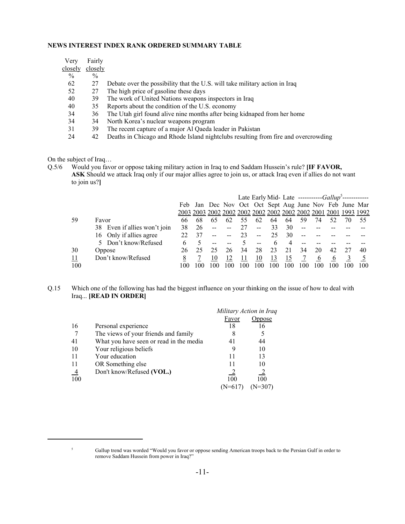#### **NEWS INTEREST INDEX RANK ORDERED SUMMARY TABLE**

| Verv          | Fairly        |                                                                                    |
|---------------|---------------|------------------------------------------------------------------------------------|
| closely       | closely       |                                                                                    |
| $\frac{0}{0}$ | $\frac{0}{0}$ |                                                                                    |
| 62            | 27            | Debate over the possibility that the U.S. will take military action in Iraq        |
| 52            | 27            | The high price of gasoline these days                                              |
| 40            | 39            | The work of United Nations weapons inspectors in Iraq                              |
| 40            | 35.           | Reports about the condition of the U.S. economy                                    |
| 34            | 36            | The Utah girl found alive nine months after being kidnaped from her home           |
| 34            | 34            | North Korea's nuclear weapons program                                              |
| 31            | 39            | The recent capture of a major Al Qaeda leader in Pakistan                          |
| 24            | 42            | Deaths in Chicago and Rhode Island nightclubs resulting from fire and overcrowding |
|               |               |                                                                                    |

On the subject of Iraq…

Q.5/6 Would you favor or oppose taking military action in Iraq to end Saddam Hussein's rule? **[IF FAVOR, ASK** Should we attack Iraq only if our major allies agree to join us, or attack Iraq even if allies do not want to join us?**]**

|     |                              |        |     |     |     | Late Early Mid- Late -----------Gallup <sup>3</sup> -------- |               |     |     |     |     |     |                                                        |      |
|-----|------------------------------|--------|-----|-----|-----|--------------------------------------------------------------|---------------|-----|-----|-----|-----|-----|--------------------------------------------------------|------|
|     |                              |        |     |     |     |                                                              |               |     |     |     |     |     | Feb Jan Dec Nov Oct Oct Sept Aug June Nov Feb June Mar |      |
|     |                              |        |     |     |     |                                                              |               |     |     |     |     |     |                                                        |      |
| 59  | Favor                        | 66     | 68  | 65  | 62  |                                                              | 62            | 64  | 64  | 59  | 74  |     | 70                                                     | 55   |
|     | 38 Even if allies won't join | 38     | 26  |     |     | 27                                                           | $\sim$ $\sim$ | 33  | 30  | --  |     |     |                                                        |      |
|     | 16 Only if allies agree      | 22     |     |     |     | 23                                                           |               | 25  | 30  |     |     |     |                                                        |      |
|     | 5 Don't know/Refused         | b      |     |     |     |                                                              |               |     |     |     |     |     |                                                        |      |
| 30  | Oppose                       | 26     |     | 25  | 26  | 34                                                           | 28            |     | 21  | 34  | 20  | 42  |                                                        | 40   |
| 11  | Don't know/Refused           | 8      |     | 10  |     |                                                              | 10            | 13  |     |     | O   |     |                                                        |      |
| 100 |                              | I ()() | 10O | 100 | 100 | 00                                                           | 100           | 100 | 100 | -00 | 100 | 100 | 100                                                    | 100. |

#### Q.15 Which one of the following has had the biggest influence on your thinking on the issue of how to deal with Iraq... **[READ IN ORDER]**

|     |                                         | Military Action in Iraq |                |
|-----|-----------------------------------------|-------------------------|----------------|
|     |                                         | Favor                   | Oppose         |
| 16  | Personal experience                     | 18                      | 16             |
|     | The views of your friends and family    | 8                       | 5              |
| 41  | What you have seen or read in the media | 41                      | 44             |
| 10  | Your religious beliefs                  |                         | 10             |
| -11 | Your education                          | 11                      | 13             |
| -11 | OR Something else                       | 11                      | 10             |
| -4  | Don't know/Refused (VOL.)               |                         | $\overline{2}$ |
| 100 |                                         | 100                     | 100            |
|     |                                         | (N=617                  | (N=307)        |

<sup>5</sup> Gallup trend was worded "Would you favor or oppose sending American troops back to the Persian Gulf in order to remove Saddam Hussein from power in Iraq?"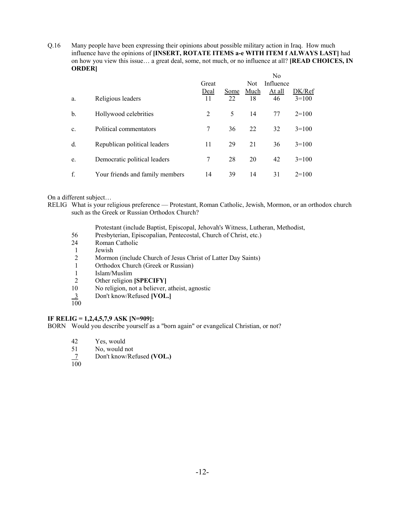Q.16 Many people have been expressing their opinions about possible military action in Iraq. How much influence have the opinions of **[INSERT, ROTATE ITEMS a-e WITH ITEM f ALWAYS LAST]** had on how you view this issue… a great deal, some, not much, or no influence at all? **[READ CHOICES, IN ORDER]**  $\mathbf{v}$ 

|    |                                 | Great<br>Deal | Some | <b>Not</b><br>Much | N0<br>Influence<br>At all | DK/Ref  |
|----|---------------------------------|---------------|------|--------------------|---------------------------|---------|
| a. | Religious leaders               | 11            | 22   | 18                 | 46                        | $3=100$ |
| b. | Hollywood celebrities           | 2             | 5    | 14                 | 77                        | $2=100$ |
| c. | Political commentators          | 7             | 36   | 22                 | 32                        | $3=100$ |
| d. | Republican political leaders    | 11            | 29   | 21                 | 36                        | $3=100$ |
| e. | Democratic political leaders    | 7             | 28   | 20                 | 42                        | $3=100$ |
| f. | Your friends and family members | 14            | 39   | 14                 | 31                        | $2=100$ |

On a different subject…

- RELIG What is your religious preference Protestant, Roman Catholic, Jewish, Mormon, or an orthodox church such as the Greek or Russian Orthodox Church?
	- Protestant (include Baptist, Episcopal, Jehovah's Witness, Lutheran, Methodist,
	- 56 Presbyterian, Episcopalian, Pentecostal, Church of Christ, etc.)
	- 24 Roman Catholic
	- 1 Jewish
	- 2 Mormon (include Church of Jesus Christ of Latter Day Saints)
	- 1 Orthodox Church (Greek or Russian)<br>1 Islam/Muslim
	- 1 Islam/Muslim<br>2 Other religion
	- 2 Other religion **[SPECIFY]**<br>10 No religion, not a believer,
	- No religion, not a believer, atheist, agnostic
	- 3 Don't know/Refused **[VOL.]**  $\frac{3}{100}$
	-

### **IF RELIG = 1,2,4,5,7,9 ASK [N=909]:**

BORN Would you describe yourself as a "born again" or evangelical Christian, or not?

- 42 Yes, would
- 51 No, would not
- 7 Don't know/Refused **(VOL.)**
- $\overline{100}$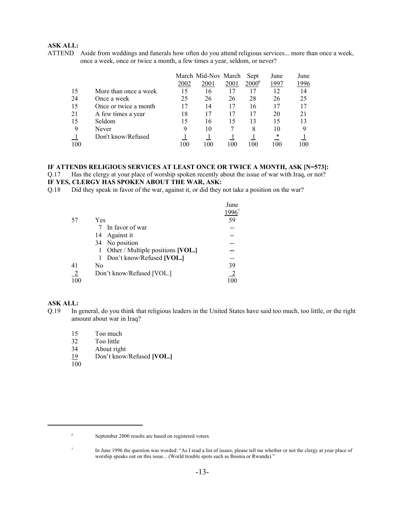#### **ASK ALL:**

ATTEND Aside from weddings and funerals how often do you attend religious services... more than once a week, once a week, once or twice a month, a few times a year, seldom, or never?

|     |                       |      | March Mid-Nov March |      | Sept              | June | June |
|-----|-----------------------|------|---------------------|------|-------------------|------|------|
|     |                       | 2002 | 2001                | 2001 | 2000 <sup>6</sup> | 1997 | 1996 |
| 15  | More than once a week | 15   | 16                  | 17   | 17                | 12   | 14   |
| 24  | Once a week           | 25   | 26                  | 26   | 28                | 26   | 25   |
| 15  | Once or twice a month | 17   | 14                  | 17   | 16                | 17   |      |
| 21  | A few times a year    | 18   |                     | 17   |                   | 20   | 21   |
| 15  | Seldom                | 15   | 16                  | 15   | 13                | 15   |      |
| 9   | Never                 | 9    | 10                  |      | 8                 | 10   | Q    |
|     | Don't know/Refused    |      |                     |      |                   | *    |      |
| 100 |                       | 100  | 100                 | 100  | 100               | 100  | 100  |

#### **IF ATTENDS RELIGIOUS SERVICES AT LEAST ONCE OR TWICE A MONTH, ASK [N=573]:** Q.17 Has the clergy at your place of worship spoken recently about the issue of war with Iraq, or not?

#### **IF YES, CLERGY HAS SPOKEN ABOUT THE WAR, ASK:**

Q.18 Did they speak in favor of the war, against it, or did they not take a position on the war?

|               |                                   | June |
|---------------|-----------------------------------|------|
|               |                                   |      |
| -57           | Yes                               | 59   |
|               | 7 In favor of war                 |      |
|               | Against it<br>14                  |      |
|               | 34 No position                    |      |
|               | Other / Multiple positions [VOL.] |      |
|               | Don't know/Refused [VOL.]<br>1    |      |
| 41            | No                                | 39   |
| $\frac{2}{2}$ | Don't know/Refused [VOL.]         |      |
| 100           |                                   | 100  |

#### **ASK ALL:**

- Q.19 In general, do you think that religious leaders in the United States have said too much, too little, or the right amount about war in Iraq?
	- 15 Too much
	- 32 Too little
	- 34 About right
	- 19 Don't know/Refused **[VOL.]**
	- $\overline{100}$

<sup>6</sup> September 2000 results are based on registered voters.

<sup>&</sup>lt;sup>7</sup> In June 1996 the question was worded: "As I read a list of issues, please tell me whether or not the clergy at your place of worship speaks out on this issue... (World trouble spots such as Bosnia or Rwanda)."